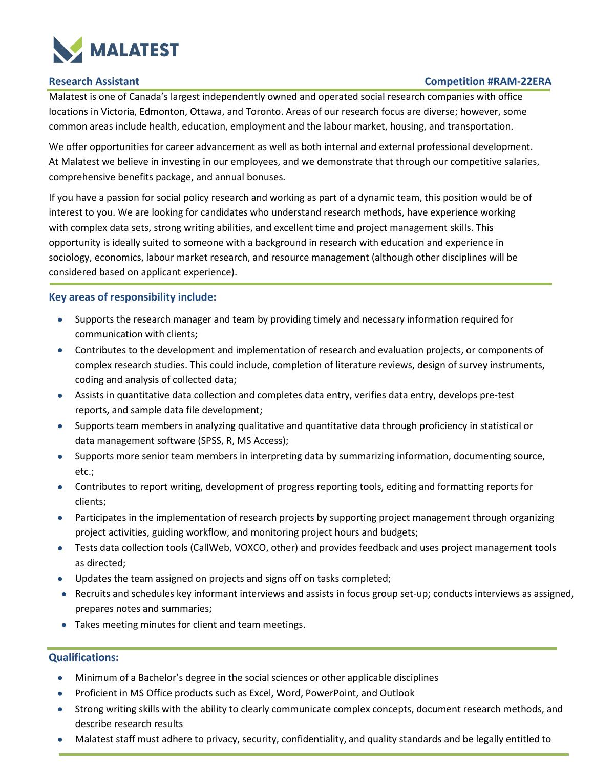

# **Research Assistant Competition #RAM-22ERA**

Malatest is one of Canada's largest independently owned and operated social research companies with office locations in Victoria, Edmonton, Ottawa, and Toronto. Areas of our research focus are diverse; however, some common areas include health, education, employment and the labour market, housing, and transportation.

We offer opportunities for career advancement as well as both internal and external professional development. At Malatest we believe in investing in our employees, and we demonstrate that through our competitive salaries, comprehensive benefits package, and annual bonuses.

If you have a passion for social policy research and working as part of a dynamic team, this position would be of interest to you. We are looking for candidates who understand research methods, have experience working with complex data sets, strong writing abilities, and excellent time and project management skills. This opportunity is ideally suited to someone with a background in research with education and experience in sociology, economics, labour market research, and resource management (although other disciplines will be considered based on applicant experience).

# **Key areas of responsibility include:**

- Supports the research manager and team by providing timely and necessary information required for communication with clients;
- Contributes to the development and implementation of research and evaluation projects, or components of complex research studies. This could include, completion of literature reviews, design of survey instruments, coding and analysis of collected data;
- Assists in quantitative data collection and completes data entry, verifies data entry, develops pre-test reports, and sample data file development;
- Supports team members in analyzing qualitative and quantitative data through proficiency in statistical or data management software (SPSS, R, MS Access);
- Supports more senior team members in interpreting data by summarizing information, documenting source, etc.;
- Contributes to report writing, development of progress reporting tools, editing and formatting reports for clients;
- Participates in the implementation of research projects by supporting project management through organizing project activities, guiding workflow, and monitoring project hours and budgets;
- Tests data collection tools (CallWeb, VOXCO, other) and provides feedback and uses project management tools as directed;
- Updates the team assigned on projects and signs off on tasks completed;
- Recruits and schedules key informant interviews and assists in focus group set-up; conducts interviews as assigned, prepares notes and summaries;
- Takes meeting minutes for client and team meetings.

### **Qualifications:**

- Minimum of a Bachelor's degree in the social sciences or other applicable disciplines
- Proficient in MS Office products such as Excel, Word, PowerPoint, and Outlook
- Strong writing skills with the ability to clearly communicate complex concepts, document research methods, and describe research results
- Malatest staff must adhere to privacy, security, confidentiality, and quality standards and be legally entitled to